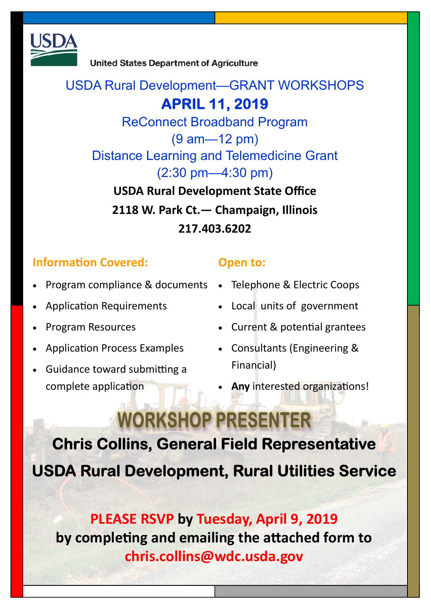

**United States Department of Agriculture** 

### USDA Rural Development—GRANT WORKSHOPS

## **APRIL 11, 2019**

ReConnect Broadband Program (9 am—12 pm) Distance Learning and Telemedicine Grant (2:30 pm—4:30 pm)

**USDA Rural Development State Office 2118 W. Park Ct.— Champaign, Illinois 217.403.6202** 

### **Information Covered:**

- Program compliance & documents Telephone & Electric Coops
- Application Requirements
- Program Resources
- Application Process Examples
- Guidance toward submitting a complete application

#### **Open to:**

- 
- Local units of government
- Current & potential grantees
- Consultants (Engineering & Financial)
- **Any** interested organizations!

# **WORKSHOP PRESENTER**

**Chris Collins, General Field Representative USDA Rural Development, Rural Utilities Service** 

## **PLEASE RSVP by Tuesday, April 9, 2019**  by completing and emailing the attached form to **chris.collins@wdc.usda.gov**